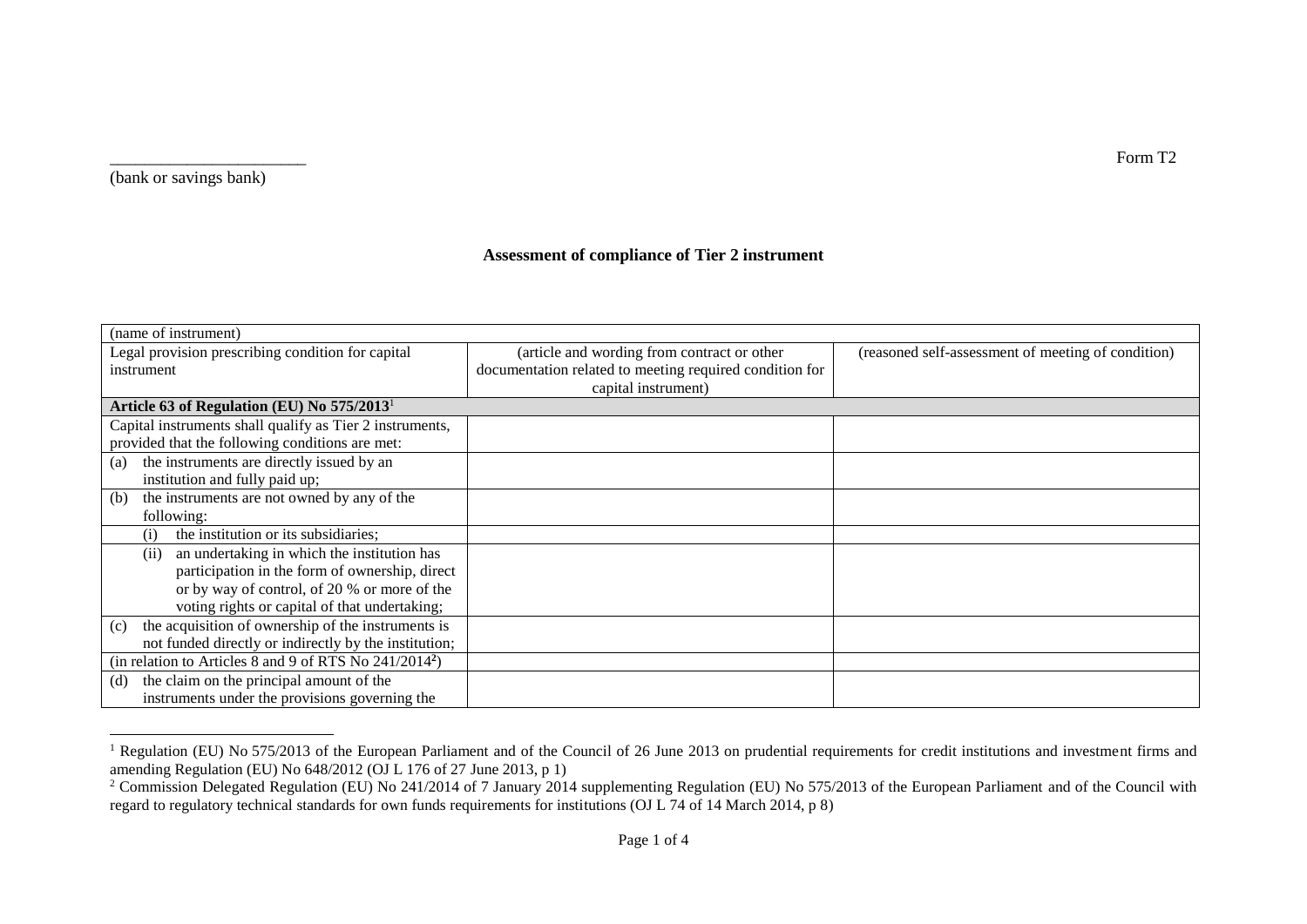(bank or savings bank)

## **Assessment of compliance of Tier 2 instrument**

| (name of instrument)                                      |                                                         |                                                    |
|-----------------------------------------------------------|---------------------------------------------------------|----------------------------------------------------|
| Legal provision prescribing condition for capital         | (article and wording from contract or other             | (reasoned self-assessment of meeting of condition) |
| instrument                                                | documentation related to meeting required condition for |                                                    |
|                                                           | capital instrument)                                     |                                                    |
| Article 63 of Regulation (EU) No 575/2013 <sup>1</sup>    |                                                         |                                                    |
| Capital instruments shall qualify as Tier 2 instruments,  |                                                         |                                                    |
| provided that the following conditions are met:           |                                                         |                                                    |
| the instruments are directly issued by an<br>(a)          |                                                         |                                                    |
| institution and fully paid up;                            |                                                         |                                                    |
| the instruments are not owned by any of the<br>(b)        |                                                         |                                                    |
| following:                                                |                                                         |                                                    |
| the institution or its subsidiaries;<br>$\left( i\right)$ |                                                         |                                                    |
| an undertaking in which the institution has<br>(i)        |                                                         |                                                    |
| participation in the form of ownership, direct            |                                                         |                                                    |
| or by way of control, of 20 % or more of the              |                                                         |                                                    |
| voting rights or capital of that undertaking;             |                                                         |                                                    |
| the acquisition of ownership of the instruments is<br>(c) |                                                         |                                                    |
| not funded directly or indirectly by the institution;     |                                                         |                                                    |
| (in relation to Articles 8 and 9 of RTS No $241/2014^2$ ) |                                                         |                                                    |
| the claim on the principal amount of the<br>(d)           |                                                         |                                                    |
| instruments under the provisions governing the            |                                                         |                                                    |

 <sup>1</sup> Regulation (EU) No 575/2013 of the European Parliament and of the Council of 26 June 2013 on prudential requirements for credit institutions and investment firms and amending Regulation (EU) No 648/2012 (OJ L 176 of 27 June 2013, p 1)

\_\_\_\_\_\_\_\_\_\_\_\_\_\_\_\_\_\_\_\_\_\_\_ Form T2

<sup>&</sup>lt;sup>2</sup> Commission Delegated Regulation (EU) No 241/2014 of 7 January 2014 supplementing Regulation (EU) No 575/2013 of the European Parliament and of the Council with regard to regulatory technical standards for own funds requirements for institutions (OJ L 74 of 14 March 2014, p 8)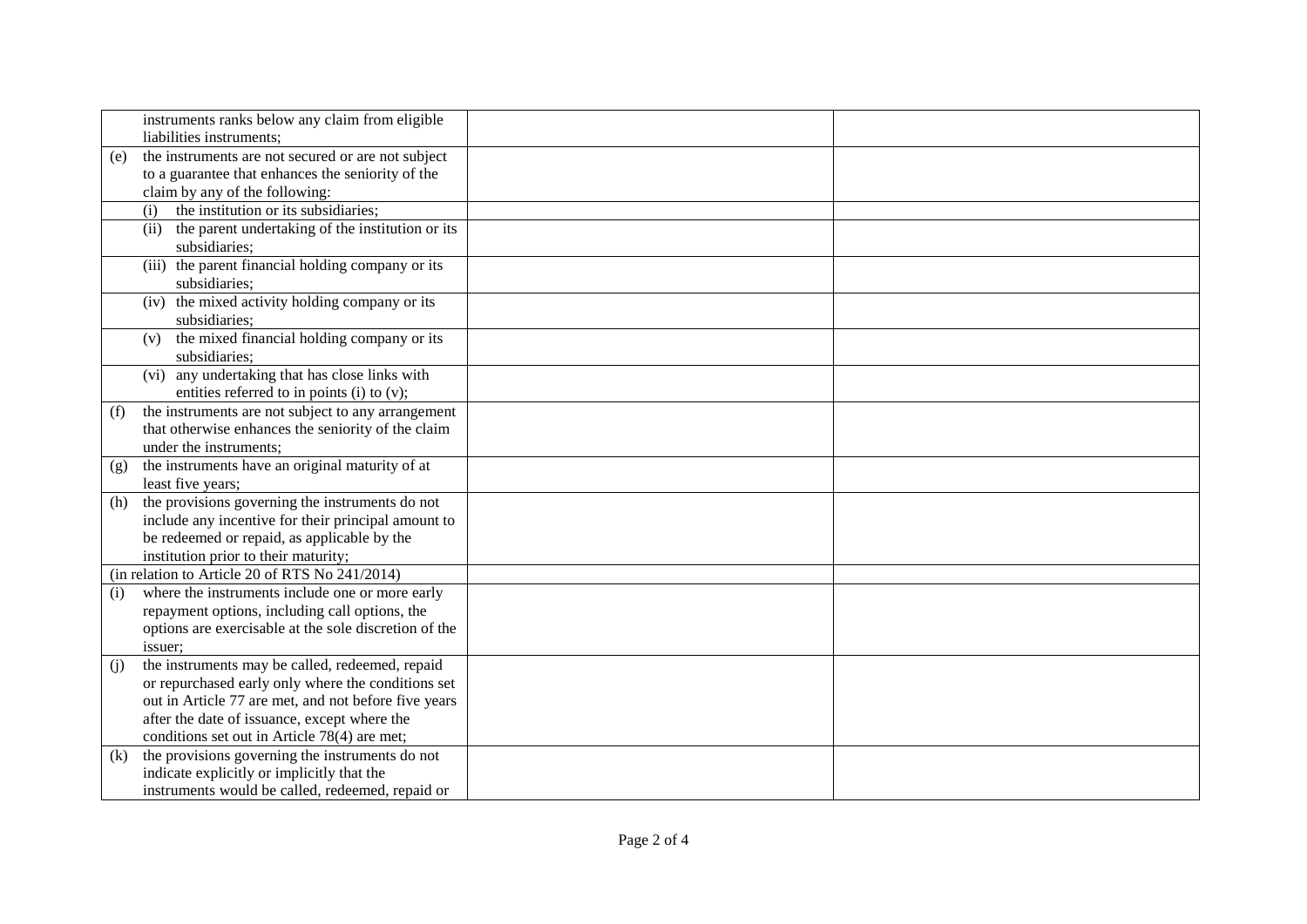|     | instruments ranks below any claim from eligible<br>liabilities instruments; |  |
|-----|-----------------------------------------------------------------------------|--|
| (e) | the instruments are not secured or are not subject                          |  |
|     | to a guarantee that enhances the seniority of the                           |  |
|     | claim by any of the following:                                              |  |
|     | the institution or its subsidiaries;<br>(i)                                 |  |
|     | the parent undertaking of the institution or its<br>(ii)                    |  |
|     | subsidiaries;                                                               |  |
|     | (iii) the parent financial holding company or its                           |  |
|     | subsidiaries;                                                               |  |
|     | (iv) the mixed activity holding company or its                              |  |
|     | subsidiaries;                                                               |  |
|     | the mixed financial holding company or its<br>(v)                           |  |
|     | subsidiaries;                                                               |  |
|     | (vi) any undertaking that has close links with                              |  |
|     | entities referred to in points (i) to (v);                                  |  |
| (f) | the instruments are not subject to any arrangement                          |  |
|     | that otherwise enhances the seniority of the claim                          |  |
|     | under the instruments;                                                      |  |
| (g) | the instruments have an original maturity of at                             |  |
|     | least five years;                                                           |  |
| (h) | the provisions governing the instruments do not                             |  |
|     | include any incentive for their principal amount to                         |  |
|     | be redeemed or repaid, as applicable by the                                 |  |
|     | institution prior to their maturity;                                        |  |
|     | (in relation to Article 20 of RTS No 241/2014)                              |  |
| (i) | where the instruments include one or more early                             |  |
|     | repayment options, including call options, the                              |  |
|     | options are exercisable at the sole discretion of the                       |  |
|     | issuer:                                                                     |  |
| (i) | the instruments may be called, redeemed, repaid                             |  |
|     | or repurchased early only where the conditions set                          |  |
|     | out in Article 77 are met, and not before five years                        |  |
|     | after the date of issuance, except where the                                |  |
|     | conditions set out in Article 78(4) are met;                                |  |
| (k) | the provisions governing the instruments do not                             |  |
|     | indicate explicitly or implicitly that the                                  |  |
|     | instruments would be called, redeemed, repaid or                            |  |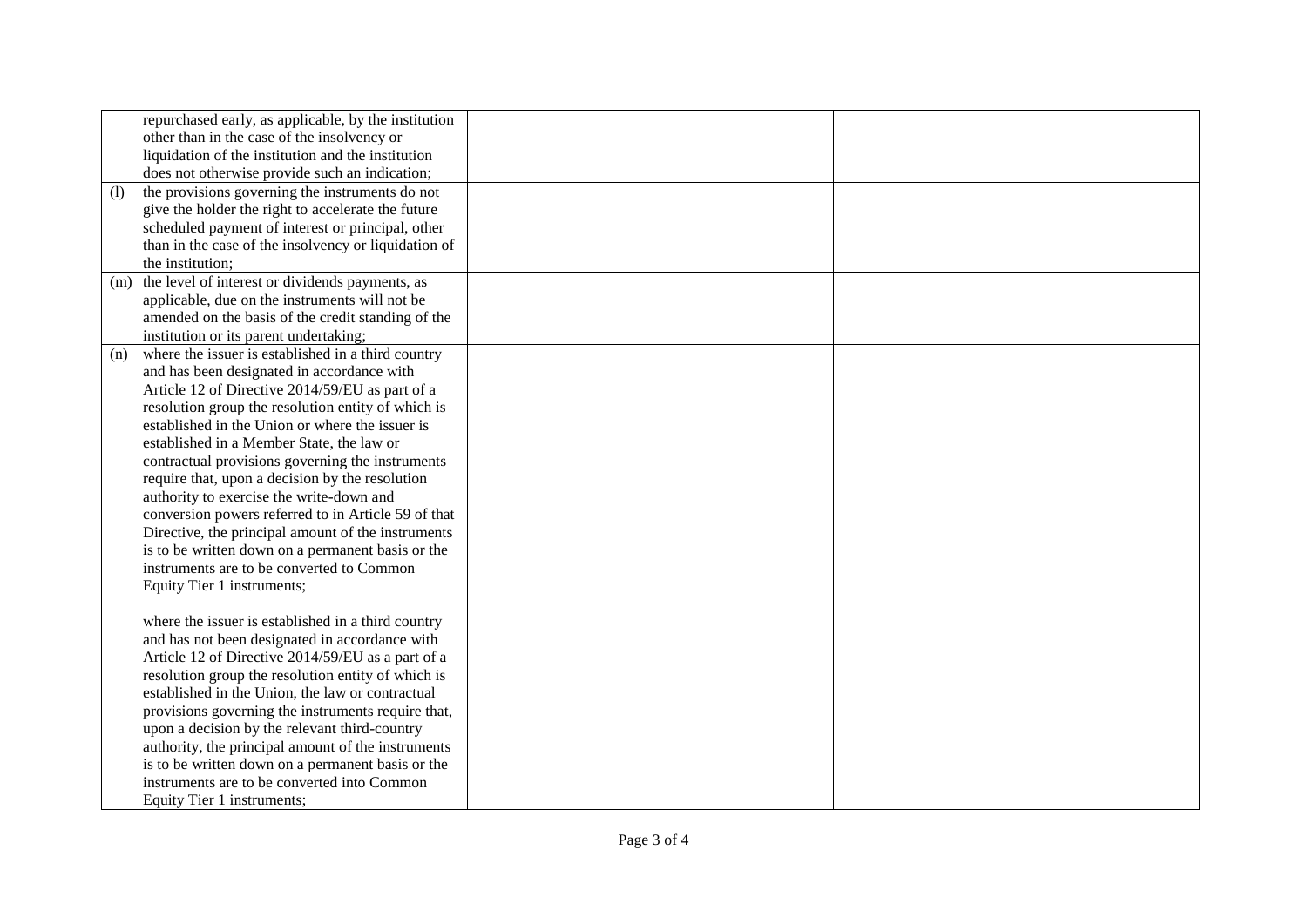| (1) | repurchased early, as applicable, by the institution<br>other than in the case of the insolvency or<br>liquidation of the institution and the institution<br>does not otherwise provide such an indication;<br>the provisions governing the instruments do not<br>give the holder the right to accelerate the future<br>scheduled payment of interest or principal, other<br>than in the case of the insolvency or liquidation of                                                                                                                                                                                                                                                                         |  |
|-----|-----------------------------------------------------------------------------------------------------------------------------------------------------------------------------------------------------------------------------------------------------------------------------------------------------------------------------------------------------------------------------------------------------------------------------------------------------------------------------------------------------------------------------------------------------------------------------------------------------------------------------------------------------------------------------------------------------------|--|
|     | the institution:                                                                                                                                                                                                                                                                                                                                                                                                                                                                                                                                                                                                                                                                                          |  |
| (m) | the level of interest or dividends payments, as<br>applicable, due on the instruments will not be<br>amended on the basis of the credit standing of the<br>institution or its parent undertaking;                                                                                                                                                                                                                                                                                                                                                                                                                                                                                                         |  |
| (n) | where the issuer is established in a third country<br>and has been designated in accordance with<br>Article 12 of Directive 2014/59/EU as part of a<br>resolution group the resolution entity of which is<br>established in the Union or where the issuer is<br>established in a Member State, the law or<br>contractual provisions governing the instruments<br>require that, upon a decision by the resolution<br>authority to exercise the write-down and<br>conversion powers referred to in Article 59 of that<br>Directive, the principal amount of the instruments<br>is to be written down on a permanent basis or the<br>instruments are to be converted to Common<br>Equity Tier 1 instruments; |  |
|     | where the issuer is established in a third country<br>and has not been designated in accordance with<br>Article 12 of Directive 2014/59/EU as a part of a<br>resolution group the resolution entity of which is<br>established in the Union, the law or contractual<br>provisions governing the instruments require that,<br>upon a decision by the relevant third-country<br>authority, the principal amount of the instruments<br>is to be written down on a permanent basis or the<br>instruments are to be converted into Common<br>Equity Tier 1 instruments;                                                                                                                                        |  |